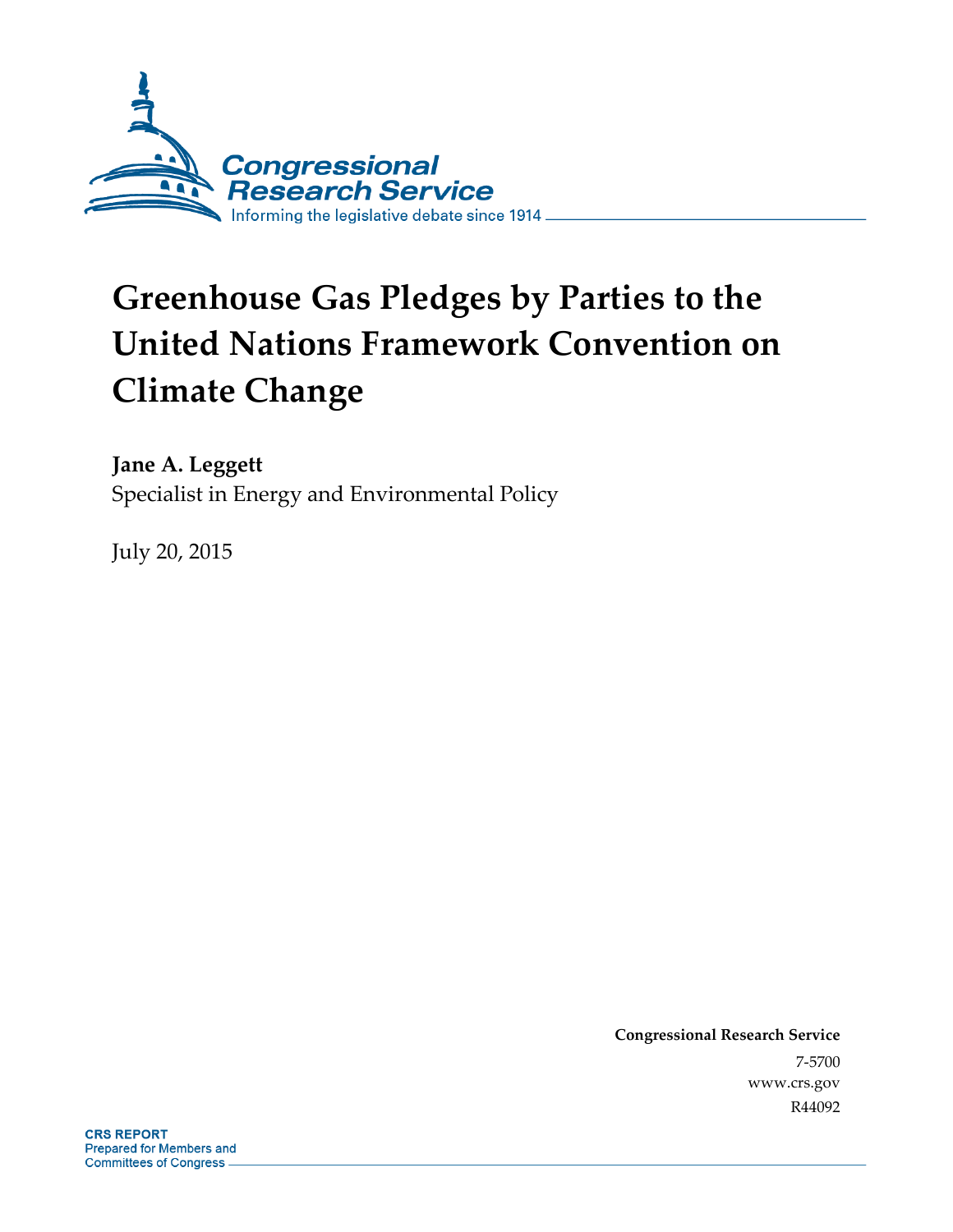

# **Greenhouse Gas Pledges by Parties to the United Nations Framework Convention on Climate Change**

**Jane A. Leggett**  Specialist in Energy and Environmental Policy

July 20, 2015

**Congressional Research Service**  7-5700 www.crs.gov R44092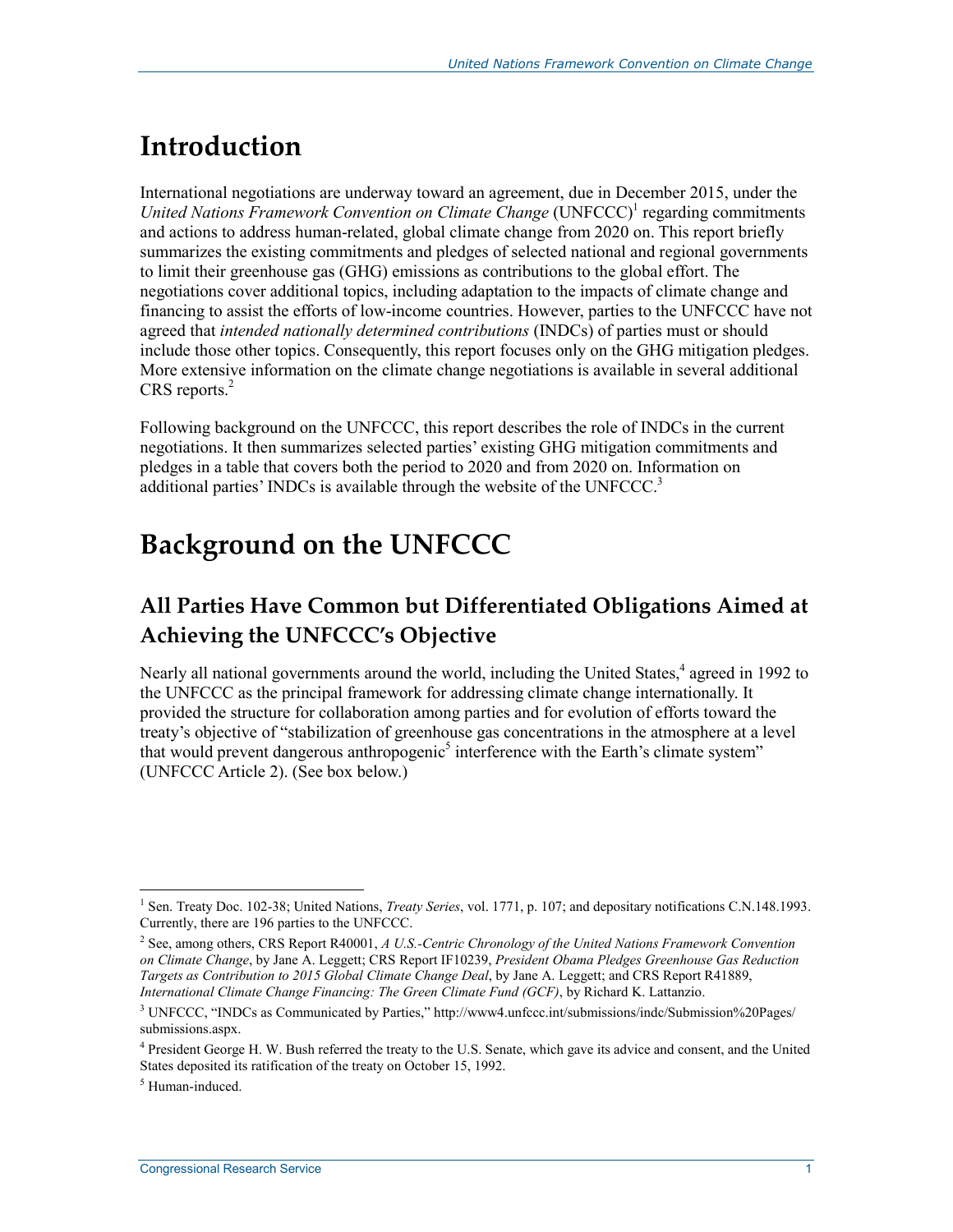## **Introduction**

International negotiations are underway toward an agreement, due in December 2015, under the United Nations Framework Convention on Climate Change (UNFCCC)<sup>1</sup> regarding commitments and actions to address human-related, global climate change from 2020 on. This report briefly summarizes the existing commitments and pledges of selected national and regional governments to limit their greenhouse gas (GHG) emissions as contributions to the global effort. The negotiations cover additional topics, including adaptation to the impacts of climate change and financing to assist the efforts of low-income countries. However, parties to the UNFCCC have not agreed that *intended nationally determined contributions* (INDCs) of parties must or should include those other topics. Consequently, this report focuses only on the GHG mitigation pledges. More extensive information on the climate change negotiations is available in several additional  $CRS$  reports. $<sup>2</sup>$ </sup>

Following background on the UNFCCC, this report describes the role of INDCs in the current negotiations. It then summarizes selected parties' existing GHG mitigation commitments and pledges in a table that covers both the period to 2020 and from 2020 on. Information on additional parties' INDCs is available through the website of the UNFCCC.<sup>3</sup>

## **Background on the UNFCCC**

## **All Parties Have Common but Differentiated Obligations Aimed at Achieving the UNFCCC's Objective**

Nearly all national governments around the world, including the United States,<sup>4</sup> agreed in 1992 to the UNFCCC as the principal framework for addressing climate change internationally. It provided the structure for collaboration among parties and for evolution of efforts toward the treaty's objective of "stabilization of greenhouse gas concentrations in the atmosphere at a level that would prevent dangerous anthropogenic<sup>5</sup> interference with the Earth's climate system" (UNFCCC Article 2). (See box below.)

<sup>&</sup>lt;u>.</u> <sup>1</sup> Sen. Treaty Doc. 102-38; United Nations, *Treaty Series*, vol. 1771, p. 107; and depositary notifications C.N.148.1993. Currently, there are 196 parties to the UNFCCC.

<sup>2</sup> See, among others, CRS Report R40001, *A U.S.-Centric Chronology of the United Nations Framework Convention on Climate Change*, by Jane A. Leggett; CRS Report IF10239, *President Obama Pledges Greenhouse Gas Reduction Targets as Contribution to 2015 Global Climate Change Deal*, by Jane A. Leggett; and CRS Report R41889, *International Climate Change Financing: The Green Climate Fund (GCF)*, by Richard K. Lattanzio.

<sup>&</sup>lt;sup>3</sup> UNFCCC, "INDCs as Communicated by Parties," http://www4.unfccc.int/submissions/indc/Submission%20Pages/ submissions.aspx.

<sup>&</sup>lt;sup>4</sup> President George H. W. Bush referred the treaty to the U.S. Senate, which gave its advice and consent, and the United States deposited its ratification of the treaty on October 15, 1992.

<sup>5</sup> Human-induced.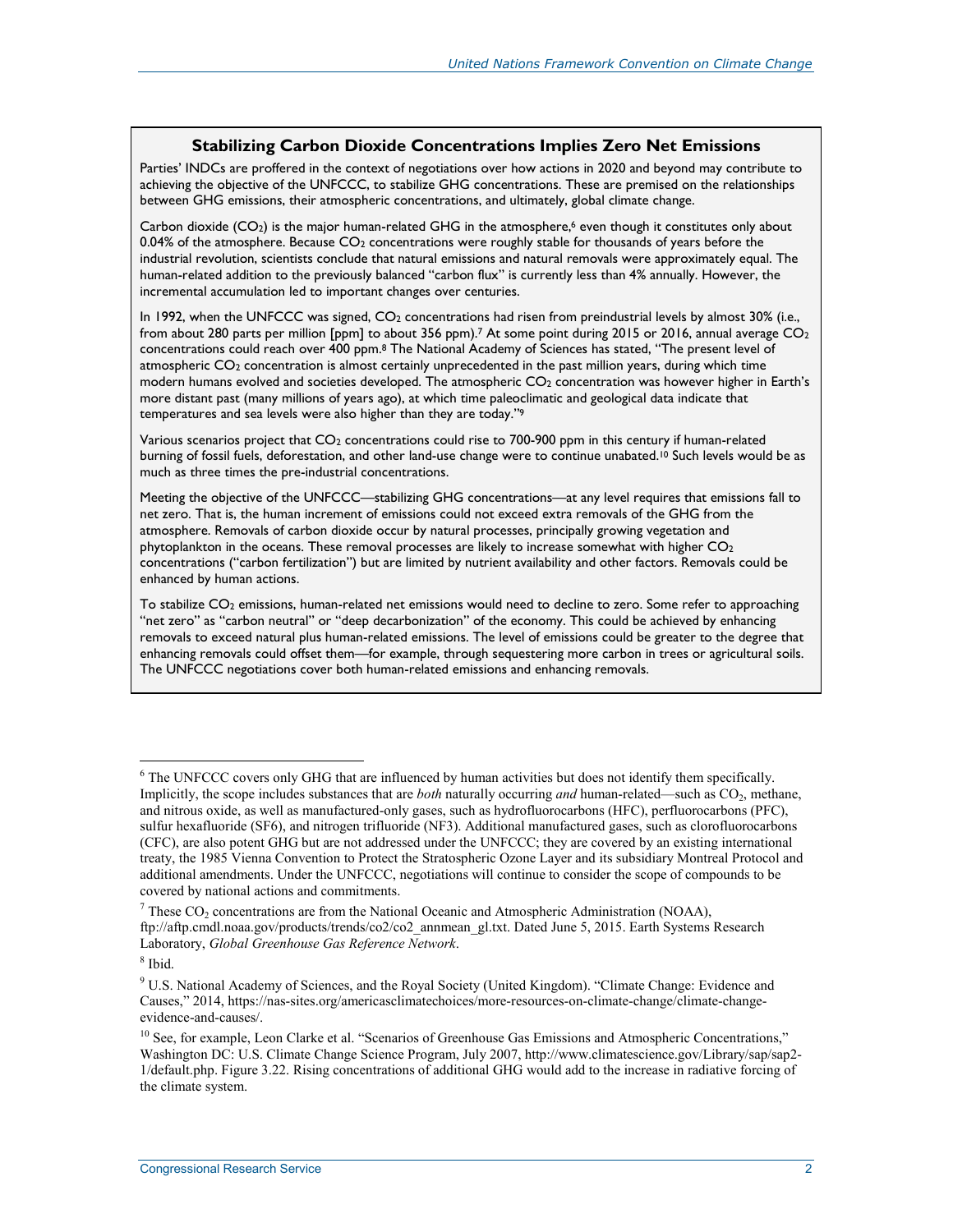#### **Stabilizing Carbon Dioxide Concentrations Implies Zero Net Emissions**

Parties' INDCs are proffered in the context of negotiations over how actions in 2020 and beyond may contribute to achieving the objective of the UNFCCC, to stabilize GHG concentrations. These are premised on the relationships between GHG emissions, their atmospheric concentrations, and ultimately, global climate change.

Carbon dioxide ( $CO<sub>2</sub>$ ) is the major human-related GHG in the atmosphere,<sup>6</sup> even though it constitutes only about 0.04% of the atmosphere. Because  $CO<sub>2</sub>$  concentrations were roughly stable for thousands of years before the industrial revolution, scientists conclude that natural emissions and natural removals were approximately equal. The human-related addition to the previously balanced "carbon flux" is currently less than 4% annually. However, the incremental accumulation led to important changes over centuries.

In 1992, when the UNFCCC was signed, CO<sub>2</sub> concentrations had risen from preindustrial levels by almost 30% (i.e., from about 280 parts per million [ppm] to about 356 ppm).<sup>7</sup> At some point during 2015 or 2016, annual average CO<sub>2</sub> concentrations could reach over 400 ppm.8 The National Academy of Sciences has stated, "The present level of atmospheric CO2 concentration is almost certainly unprecedented in the past million years, during which time modern humans evolved and societies developed. The atmospheric  $CO<sub>2</sub>$  concentration was however higher in Earth's more distant past (many millions of years ago), at which time paleoclimatic and geological data indicate that temperatures and sea levels were also higher than they are today."9

Various scenarios project that CO<sub>2</sub> concentrations could rise to 700-900 ppm in this century if human-related burning of fossil fuels, deforestation, and other land-use change were to continue unabated.<sup>10</sup> Such levels would be as much as three times the pre-industrial concentrations.

Meeting the objective of the UNFCCC—stabilizing GHG concentrations—at any level requires that emissions fall to net zero. That is, the human increment of emissions could not exceed extra removals of the GHG from the atmosphere. Removals of carbon dioxide occur by natural processes, principally growing vegetation and phytoplankton in the oceans. These removal processes are likely to increase somewhat with higher  $CO<sub>2</sub>$ concentrations ("carbon fertilization") but are limited by nutrient availability and other factors. Removals could be enhanced by human actions.

To stabilize CO<sub>2</sub> emissions, human-related net emissions would need to decline to zero. Some refer to approaching "net zero" as "carbon neutral" or "deep decarbonization" of the economy. This could be achieved by enhancing removals to exceed natural plus human-related emissions. The level of emissions could be greater to the degree that enhancing removals could offset them—for example, through sequestering more carbon in trees or agricultural soils. The UNFCCC negotiations cover both human-related emissions and enhancing removals.

<u>.</u>

<sup>&</sup>lt;sup>6</sup> The UNFCCC covers only GHG that are influenced by human activities but does not identify them specifically. Implicitly, the scope includes substances that are *both* naturally occurring *and* human-related—such as CO2, methane, and nitrous oxide, as well as manufactured-only gases, such as hydrofluorocarbons (HFC), perfluorocarbons (PFC), sulfur hexafluoride (SF6), and nitrogen trifluoride (NF3). Additional manufactured gases, such as clorofluorocarbons (CFC), are also potent GHG but are not addressed under the UNFCCC; they are covered by an existing international treaty, the 1985 Vienna Convention to Protect the Stratospheric Ozone Layer and its subsidiary Montreal Protocol and additional amendments. Under the UNFCCC, negotiations will continue to consider the scope of compounds to be covered by national actions and commitments.

<sup>&</sup>lt;sup>7</sup> These CO<sub>2</sub> concentrations are from the National Oceanic and Atmospheric Administration (NOAA), ftp://aftp.cmdl.noaa.gov/products/trends/co2/co2\_annmean\_gl.txt. Dated June 5, 2015. Earth Systems Research Laboratory, *Global Greenhouse Gas Reference Network*.

<sup>8</sup> Ibid.

<sup>&</sup>lt;sup>9</sup> U.S. National Academy of Sciences, and the Royal Society (United Kingdom). "Climate Change: Evidence and Causes," 2014, https://nas-sites.org/americasclimatechoices/more-resources-on-climate-change/climate-changeevidence-and-causes/.

<sup>&</sup>lt;sup>10</sup> See, for example, Leon Clarke et al. "Scenarios of Greenhouse Gas Emissions and Atmospheric Concentrations," Washington DC: U.S. Climate Change Science Program, July 2007, http://www.climatescience.gov/Library/sap/sap2- 1/default.php. Figure 3.22. Rising concentrations of additional GHG would add to the increase in radiative forcing of the climate system.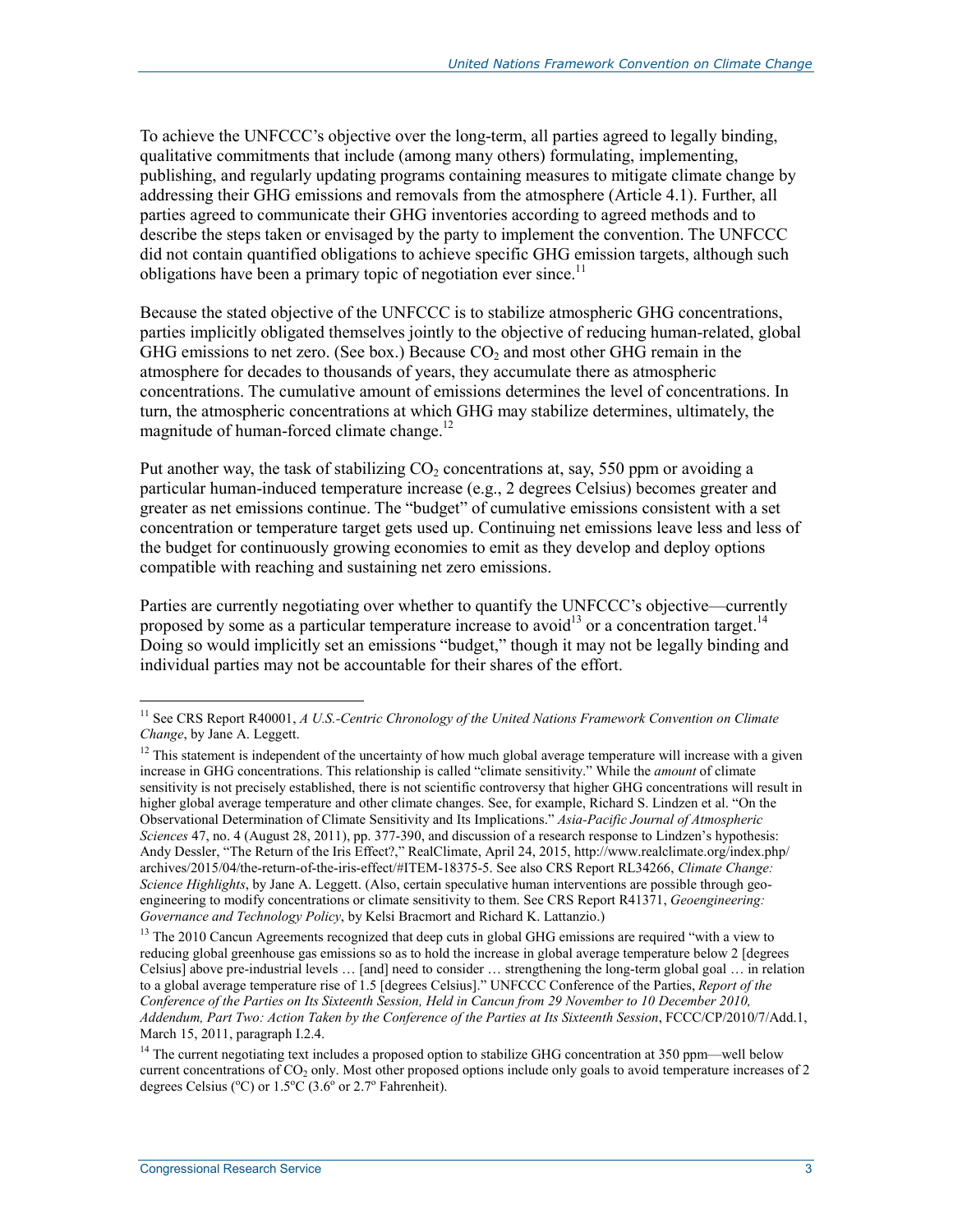To achieve the UNFCCC's objective over the long-term, all parties agreed to legally binding, qualitative commitments that include (among many others) formulating, implementing, publishing, and regularly updating programs containing measures to mitigate climate change by addressing their GHG emissions and removals from the atmosphere (Article 4.1). Further, all parties agreed to communicate their GHG inventories according to agreed methods and to describe the steps taken or envisaged by the party to implement the convention. The UNFCCC did not contain quantified obligations to achieve specific GHG emission targets, although such obligations have been a primary topic of negotiation ever since.<sup>11</sup>

Because the stated objective of the UNFCCC is to stabilize atmospheric GHG concentrations, parties implicitly obligated themselves jointly to the objective of reducing human-related, global GHG emissions to net zero. (See box.) Because  $CO<sub>2</sub>$  and most other GHG remain in the atmosphere for decades to thousands of years, they accumulate there as atmospheric concentrations. The cumulative amount of emissions determines the level of concentrations. In turn, the atmospheric concentrations at which GHG may stabilize determines, ultimately, the magnitude of human-forced climate change.<sup>12</sup>

Put another way, the task of stabilizing  $CO<sub>2</sub>$  concentrations at, say, 550 ppm or avoiding a particular human-induced temperature increase (e.g., 2 degrees Celsius) becomes greater and greater as net emissions continue. The "budget" of cumulative emissions consistent with a set concentration or temperature target gets used up. Continuing net emissions leave less and less of the budget for continuously growing economies to emit as they develop and deploy options compatible with reaching and sustaining net zero emissions.

Parties are currently negotiating over whether to quantify the UNFCCC's objective—currently proposed by some as a particular temperature increase to avoid<sup>13</sup> or a concentration target.<sup>14</sup> Doing so would implicitly set an emissions "budget," though it may not be legally binding and individual parties may not be accountable for their shares of the effort.

1

<sup>&</sup>lt;sup>11</sup> See CRS Report R40001, *A U.S.-Centric Chronology of the United Nations Framework Convention on Climate Change*, by Jane A. Leggett.

 $12$  This statement is independent of the uncertainty of how much global average temperature will increase with a given increase in GHG concentrations. This relationship is called "climate sensitivity." While the *amount* of climate sensitivity is not precisely established, there is not scientific controversy that higher GHG concentrations will result in higher global average temperature and other climate changes. See, for example, Richard S. Lindzen et al. "On the Observational Determination of Climate Sensitivity and Its Implications." *Asia-Pacific Journal of Atmospheric Sciences* 47, no. 4 (August 28, 2011), pp. 377-390, and discussion of a research response to Lindzen's hypothesis: Andy Dessler, "The Return of the Iris Effect?," RealClimate, April 24, 2015, http://www.realclimate.org/index.php/ archives/2015/04/the-return-of-the-iris-effect/#ITEM-18375-5. See also CRS Report RL34266, *Climate Change: Science Highlights*, by Jane A. Leggett. (Also, certain speculative human interventions are possible through geoengineering to modify concentrations or climate sensitivity to them. See CRS Report R41371, *Geoengineering: Governance and Technology Policy*, by Kelsi Bracmort and Richard K. Lattanzio.)

<sup>&</sup>lt;sup>13</sup> The 2010 Cancun Agreements recognized that deep cuts in global GHG emissions are required "with a view to reducing global greenhouse gas emissions so as to hold the increase in global average temperature below 2 [degrees Celsius] above pre-industrial levels … [and] need to consider … strengthening the long-term global goal … in relation to a global average temperature rise of 1.5 [degrees Celsius]." UNFCCC Conference of the Parties, *Report of the Conference of the Parties on Its Sixteenth Session, Held in Cancun from 29 November to 10 December 2010, Addendum, Part Two: Action Taken by the Conference of the Parties at Its Sixteenth Session*, FCCC/CP/2010/7/Add.1, March 15, 2011, paragraph I.2.4.

<sup>&</sup>lt;sup>14</sup> The current negotiating text includes a proposed option to stabilize GHG concentration at 350 ppm—well below current concentrations of  $CO<sub>2</sub>$  only. Most other proposed options include only goals to avoid temperature increases of 2 degrees Celsius ( $^{\circ}$ C) or 1.5 $^{\circ}$ C (3.6 $^{\circ}$  or 2.7 $^{\circ}$  Fahrenheit).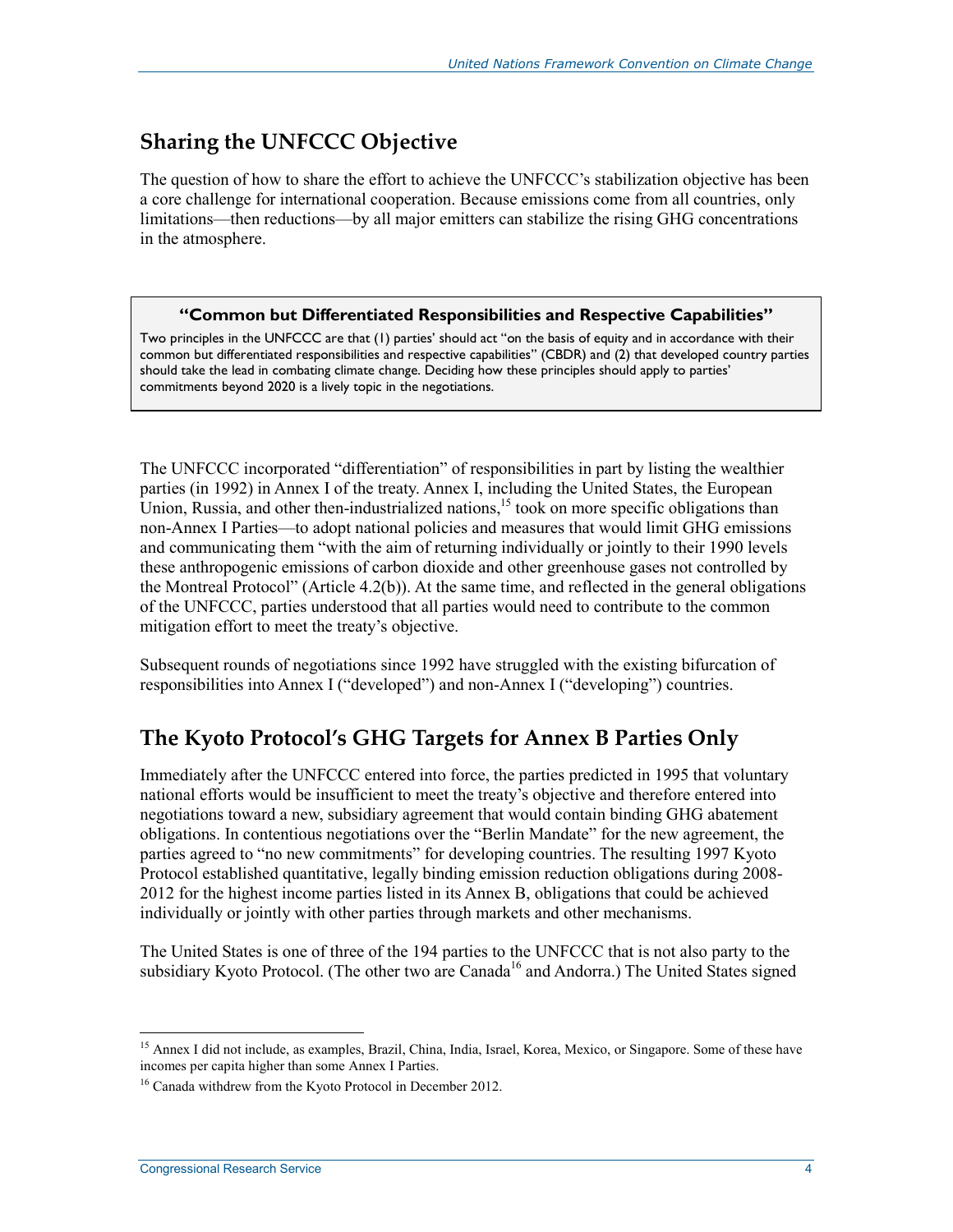### **Sharing the UNFCCC Objective**

The question of how to share the effort to achieve the UNFCCC's stabilization objective has been a core challenge for international cooperation. Because emissions come from all countries, only limitations—then reductions—by all major emitters can stabilize the rising GHG concentrations in the atmosphere.

#### **"Common but Differentiated Responsibilities and Respective Capabilities"**

Two principles in the UNFCCC are that (1) parties' should act "on the basis of equity and in accordance with their common but differentiated responsibilities and respective capabilities" (CBDR) and (2) that developed country parties should take the lead in combating climate change. Deciding how these principles should apply to parties' commitments beyond 2020 is a lively topic in the negotiations.

The UNFCCC incorporated "differentiation" of responsibilities in part by listing the wealthier parties (in 1992) in Annex I of the treaty. Annex I, including the United States, the European Union, Russia, and other then-industrialized nations,<sup>15</sup> took on more specific obligations than non-Annex I Parties—to adopt national policies and measures that would limit GHG emissions and communicating them "with the aim of returning individually or jointly to their 1990 levels these anthropogenic emissions of carbon dioxide and other greenhouse gases not controlled by the Montreal Protocol" (Article 4.2(b)). At the same time, and reflected in the general obligations of the UNFCCC, parties understood that all parties would need to contribute to the common mitigation effort to meet the treaty's objective.

Subsequent rounds of negotiations since 1992 have struggled with the existing bifurcation of responsibilities into Annex I ("developed") and non-Annex I ("developing") countries.

### **The Kyoto Protocol's GHG Targets for Annex B Parties Only**

Immediately after the UNFCCC entered into force, the parties predicted in 1995 that voluntary national efforts would be insufficient to meet the treaty's objective and therefore entered into negotiations toward a new, subsidiary agreement that would contain binding GHG abatement obligations. In contentious negotiations over the "Berlin Mandate" for the new agreement, the parties agreed to "no new commitments" for developing countries. The resulting 1997 Kyoto Protocol established quantitative, legally binding emission reduction obligations during 2008- 2012 for the highest income parties listed in its Annex B, obligations that could be achieved individually or jointly with other parties through markets and other mechanisms.

The United States is one of three of the 194 parties to the UNFCCC that is not also party to the subsidiary Kyoto Protocol. (The other two are Canada<sup>16</sup> and Andorra.) The United States signed

1

<sup>&</sup>lt;sup>15</sup> Annex I did not include, as examples, Brazil, China, India, Israel, Korea, Mexico, or Singapore. Some of these have incomes per capita higher than some Annex I Parties.

<sup>&</sup>lt;sup>16</sup> Canada withdrew from the Kyoto Protocol in December 2012.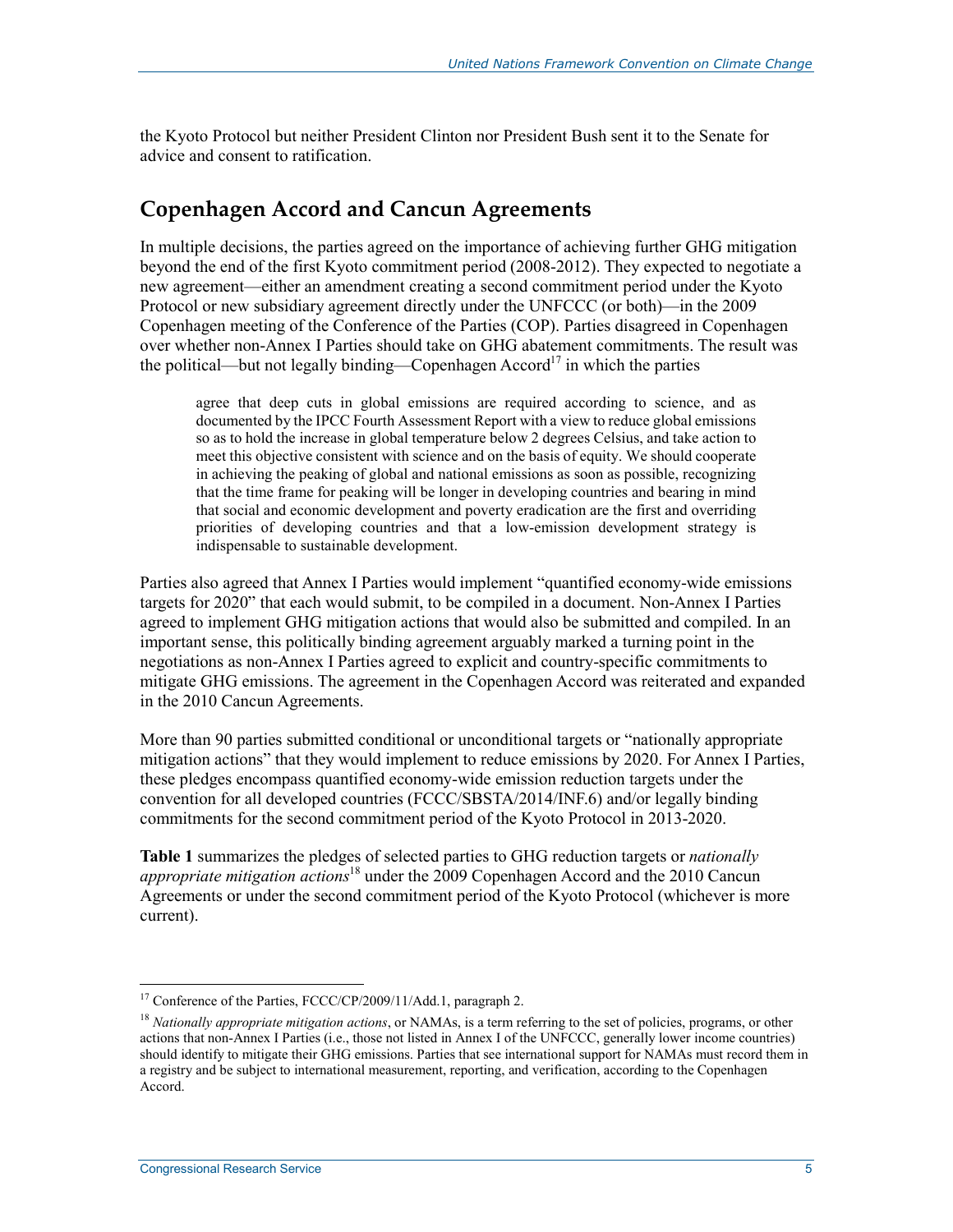the Kyoto Protocol but neither President Clinton nor President Bush sent it to the Senate for advice and consent to ratification.

#### **Copenhagen Accord and Cancun Agreements**

In multiple decisions, the parties agreed on the importance of achieving further GHG mitigation beyond the end of the first Kyoto commitment period (2008-2012). They expected to negotiate a new agreement—either an amendment creating a second commitment period under the Kyoto Protocol or new subsidiary agreement directly under the UNFCCC (or both)—in the 2009 Copenhagen meeting of the Conference of the Parties (COP). Parties disagreed in Copenhagen over whether non-Annex I Parties should take on GHG abatement commitments. The result was the political—but not legally binding—Copenhagen Accord<sup>17</sup> in which the parties

agree that deep cuts in global emissions are required according to science, and as documented by the IPCC Fourth Assessment Report with a view to reduce global emissions so as to hold the increase in global temperature below 2 degrees Celsius, and take action to meet this objective consistent with science and on the basis of equity. We should cooperate in achieving the peaking of global and national emissions as soon as possible, recognizing that the time frame for peaking will be longer in developing countries and bearing in mind that social and economic development and poverty eradication are the first and overriding priorities of developing countries and that a low-emission development strategy is indispensable to sustainable development.

Parties also agreed that Annex I Parties would implement "quantified economy-wide emissions targets for 2020" that each would submit, to be compiled in a document. Non-Annex I Parties agreed to implement GHG mitigation actions that would also be submitted and compiled. In an important sense, this politically binding agreement arguably marked a turning point in the negotiations as non-Annex I Parties agreed to explicit and country-specific commitments to mitigate GHG emissions. The agreement in the Copenhagen Accord was reiterated and expanded in the 2010 Cancun Agreements.

More than 90 parties submitted conditional or unconditional targets or "nationally appropriate mitigation actions" that they would implement to reduce emissions by 2020. For Annex I Parties, these pledges encompass quantified economy-wide emission reduction targets under the convention for all developed countries (FCCC/SBSTA/2014/INF.6) and/or legally binding commitments for the second commitment period of the Kyoto Protocol in 2013-2020.

**Table 1** summarizes the pledges of selected parties to GHG reduction targets or *nationally appropriate mitigation actions*<sup>18</sup> under the 2009 Copenhagen Accord and the 2010 Cancun Agreements or under the second commitment period of the Kyoto Protocol (whichever is more current).

<sup>1</sup> <sup>17</sup> Conference of the Parties, FCCC/CP/2009/11/Add.1, paragraph 2.

<sup>18</sup> *Nationally appropriate mitigation actions*, or NAMAs, is a term referring to the set of policies, programs, or other actions that non-Annex I Parties (i.e., those not listed in Annex I of the UNFCCC, generally lower income countries) should identify to mitigate their GHG emissions. Parties that see international support for NAMAs must record them in a registry and be subject to international measurement, reporting, and verification, according to the Copenhagen Accord.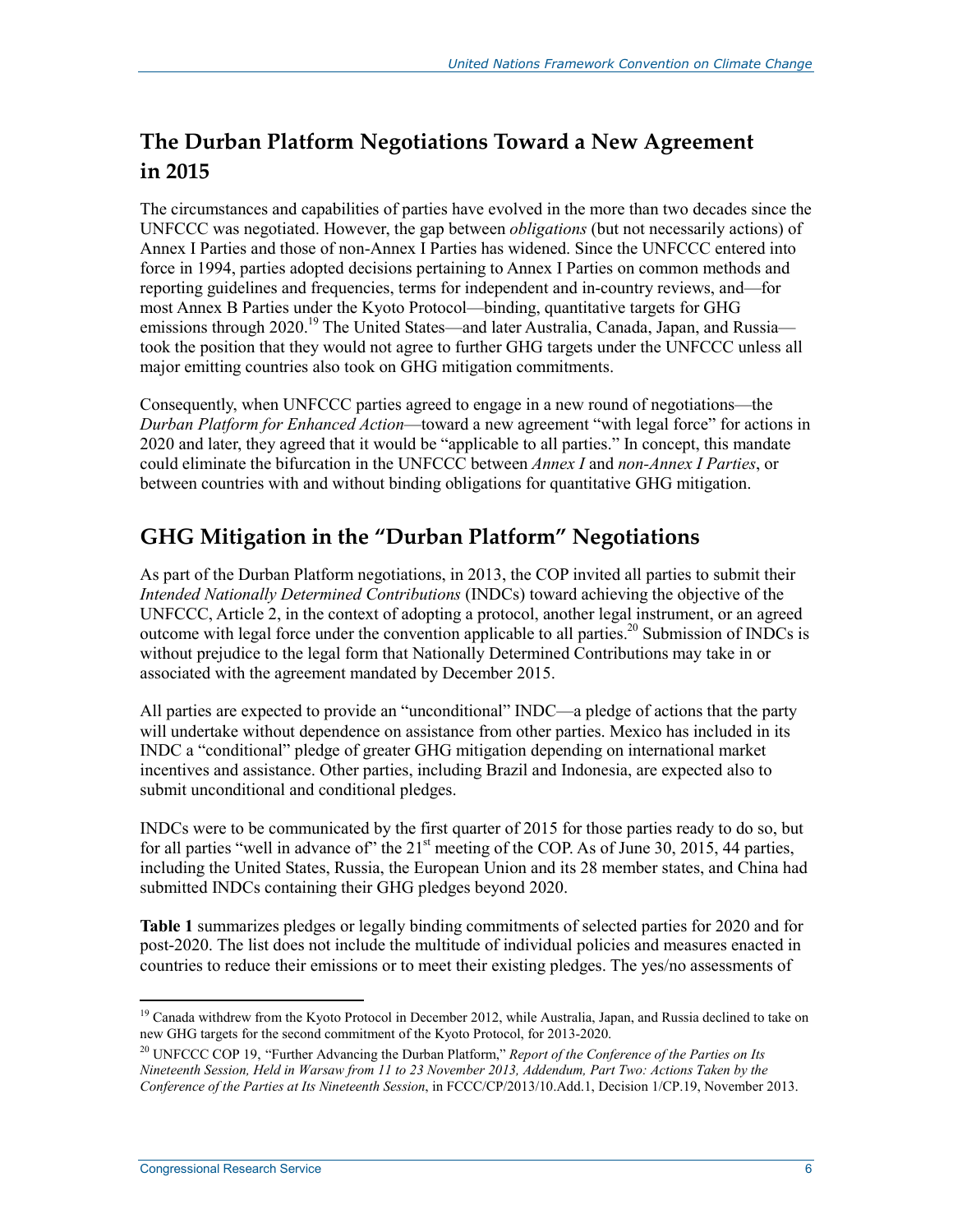### **The Durban Platform Negotiations Toward a New Agreement in 2015**

The circumstances and capabilities of parties have evolved in the more than two decades since the UNFCCC was negotiated. However, the gap between *obligations* (but not necessarily actions) of Annex I Parties and those of non-Annex I Parties has widened. Since the UNFCCC entered into force in 1994, parties adopted decisions pertaining to Annex I Parties on common methods and reporting guidelines and frequencies, terms for independent and in-country reviews, and—for most Annex B Parties under the Kyoto Protocol—binding, quantitative targets for GHG emissions through 2020.<sup>19</sup> The United States—and later Australia, Canada, Japan, and Russia took the position that they would not agree to further GHG targets under the UNFCCC unless all major emitting countries also took on GHG mitigation commitments.

Consequently, when UNFCCC parties agreed to engage in a new round of negotiations—the *Durban Platform for Enhanced Action*—toward a new agreement "with legal force" for actions in 2020 and later, they agreed that it would be "applicable to all parties." In concept, this mandate could eliminate the bifurcation in the UNFCCC between *Annex I* and *non-Annex I Parties*, or between countries with and without binding obligations for quantitative GHG mitigation.

## **GHG Mitigation in the "Durban Platform" Negotiations**

As part of the Durban Platform negotiations, in 2013, the COP invited all parties to submit their *Intended Nationally Determined Contributions* (INDCs) toward achieving the objective of the UNFCCC, Article 2, in the context of adopting a protocol, another legal instrument, or an agreed outcome with legal force under the convention applicable to all parties.<sup>20</sup> Submission of INDCs is without prejudice to the legal form that Nationally Determined Contributions may take in or associated with the agreement mandated by December 2015.

All parties are expected to provide an "unconditional" INDC—a pledge of actions that the party will undertake without dependence on assistance from other parties. Mexico has included in its INDC a "conditional" pledge of greater GHG mitigation depending on international market incentives and assistance. Other parties, including Brazil and Indonesia, are expected also to submit unconditional and conditional pledges.

INDCs were to be communicated by the first quarter of 2015 for those parties ready to do so, but for all parties "well in advance of" the  $21<sup>st</sup>$  meeting of the COP. As of June 30, 2015, 44 parties, including the United States, Russia, the European Union and its 28 member states, and China had submitted INDCs containing their GHG pledges beyond 2020.

**Table 1** summarizes pledges or legally binding commitments of selected parties for 2020 and for post-2020. The list does not include the multitude of individual policies and measures enacted in countries to reduce their emissions or to meet their existing pledges. The yes/no assessments of

<sup>1</sup> <sup>19</sup> Canada withdrew from the Kyoto Protocol in December 2012, while Australia, Japan, and Russia declined to take on new GHG targets for the second commitment of the Kyoto Protocol, for 2013-2020.

<sup>20</sup> UNFCCC COP 19, "Further Advancing the Durban Platform," *Report of the Conference of the Parties on Its Nineteenth Session, Held in Warsaw from 11 to 23 November 2013, Addendum, Part Two: Actions Taken by the Conference of the Parties at Its Nineteenth Session*, in FCCC/CP/2013/10.Add.1, Decision 1/CP.19, November 2013.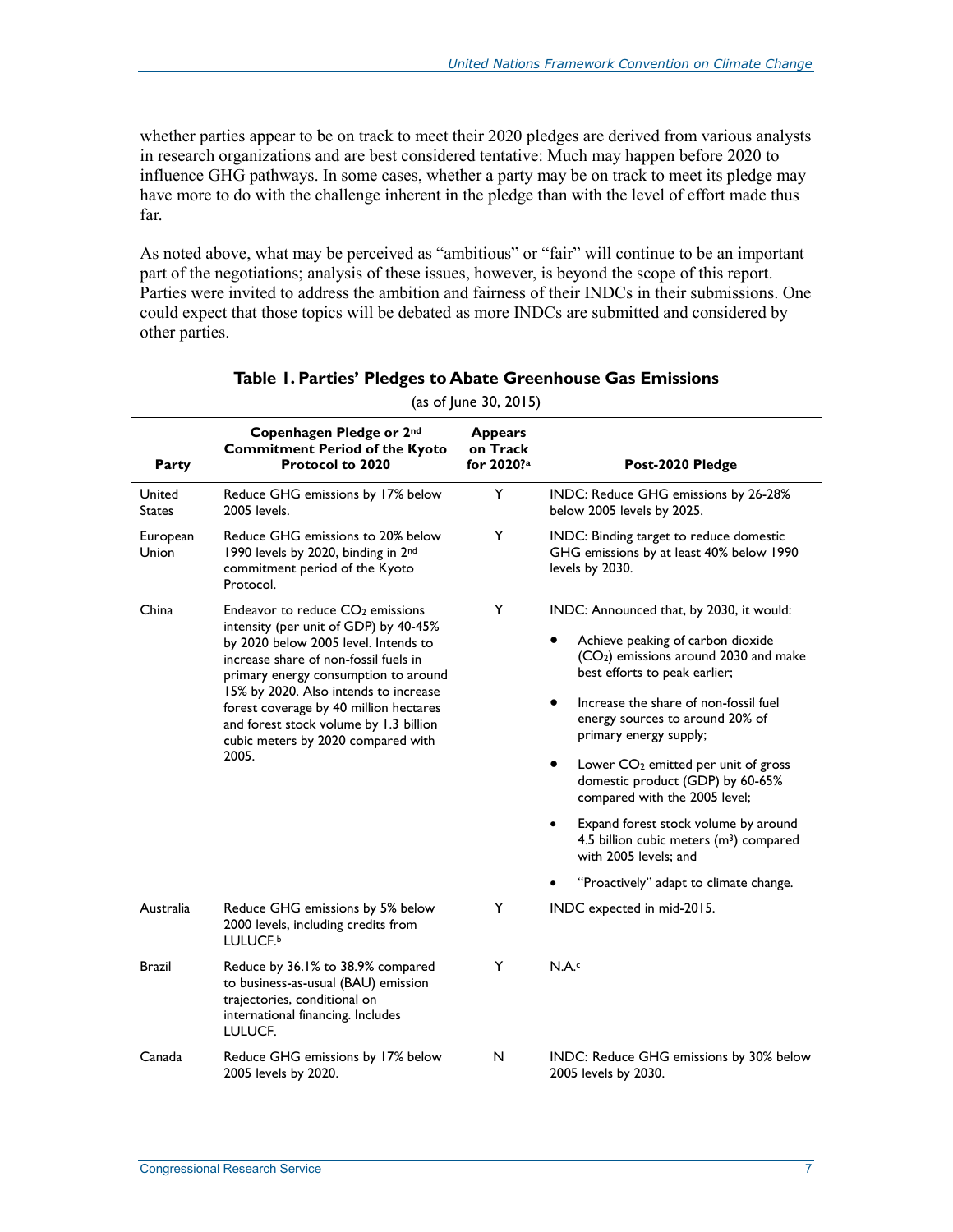whether parties appear to be on track to meet their 2020 pledges are derived from various analysts in research organizations and are best considered tentative: Much may happen before 2020 to influence GHG pathways. In some cases, whether a party may be on track to meet its pledge may have more to do with the challenge inherent in the pledge than with the level of effort made thus far.

As noted above, what may be perceived as "ambitious" or "fair" will continue to be an important part of the negotiations; analysis of these issues, however, is beyond the scope of this report. Parties were invited to address the ambition and fairness of their INDCs in their submissions. One could expect that those topics will be debated as more INDCs are submitted and considered by other parties.

| Party                   | Copenhagen Pledge or 2nd<br><b>Commitment Period of the Kyoto</b><br><b>Protocol to 2020</b>                                                                                                                                                                                                                                                                                               | <b>Appears</b><br>on Track<br>for 2020? <sup>a</sup> | Post-2020 Pledge                                                                                                                                                                                                                                                                                                                                                                                                                                                                                                                                                         |  |  |
|-------------------------|--------------------------------------------------------------------------------------------------------------------------------------------------------------------------------------------------------------------------------------------------------------------------------------------------------------------------------------------------------------------------------------------|------------------------------------------------------|--------------------------------------------------------------------------------------------------------------------------------------------------------------------------------------------------------------------------------------------------------------------------------------------------------------------------------------------------------------------------------------------------------------------------------------------------------------------------------------------------------------------------------------------------------------------------|--|--|
| United<br><b>States</b> | Reduce GHG emissions by 17% below<br>2005 levels.                                                                                                                                                                                                                                                                                                                                          | Y                                                    | INDC: Reduce GHG emissions by 26-28%<br>below 2005 levels by 2025.                                                                                                                                                                                                                                                                                                                                                                                                                                                                                                       |  |  |
| European<br>Union       | Reduce GHG emissions to 20% below<br>1990 levels by 2020, binding in 2nd<br>commitment period of the Kyoto<br>Protocol.                                                                                                                                                                                                                                                                    | Y                                                    | INDC: Binding target to reduce domestic<br>GHG emissions by at least 40% below 1990<br>levels by 2030.                                                                                                                                                                                                                                                                                                                                                                                                                                                                   |  |  |
| China                   | Endeavor to reduce CO <sub>2</sub> emissions<br>intensity (per unit of GDP) by 40-45%<br>by 2020 below 2005 level. Intends to<br>increase share of non-fossil fuels in<br>primary energy consumption to around<br>15% by 2020. Also intends to increase<br>forest coverage by 40 million hectares<br>and forest stock volume by 1.3 billion<br>cubic meters by 2020 compared with<br>2005. | Y                                                    | INDC: Announced that, by 2030, it would:<br>Achieve peaking of carbon dioxide<br>(CO <sub>2</sub> ) emissions around 2030 and make<br>best efforts to peak earlier;<br>Increase the share of non-fossil fuel<br>energy sources to around 20% of<br>primary energy supply;<br>Lower CO <sub>2</sub> emitted per unit of gross<br>٠<br>domestic product (GDP) by 60-65%<br>compared with the 2005 level;<br>Expand forest stock volume by around<br>4.5 billion cubic meters (m <sup>3</sup> ) compared<br>with 2005 levels; and<br>"Proactively" adapt to climate change. |  |  |
| Australia               | Reduce GHG emissions by 5% below<br>2000 levels, including credits from<br>LULUCF.b                                                                                                                                                                                                                                                                                                        | Y                                                    | INDC expected in mid-2015.                                                                                                                                                                                                                                                                                                                                                                                                                                                                                                                                               |  |  |
| Brazil                  | Reduce by 36.1% to 38.9% compared<br>to business-as-usual (BAU) emission<br>trajectories, conditional on<br>international financing. Includes<br>LULUCF.                                                                                                                                                                                                                                   | Y                                                    | N.A.c                                                                                                                                                                                                                                                                                                                                                                                                                                                                                                                                                                    |  |  |
| Canada                  | Reduce GHG emissions by 17% below<br>2005 levels by 2020.                                                                                                                                                                                                                                                                                                                                  | N                                                    | INDC: Reduce GHG emissions by 30% below<br>2005 levels by 2030.                                                                                                                                                                                                                                                                                                                                                                                                                                                                                                          |  |  |

#### **Table 1. Parties' Pledges to Abate Greenhouse Gas Emissions**

 $(as of June 30, 2015)$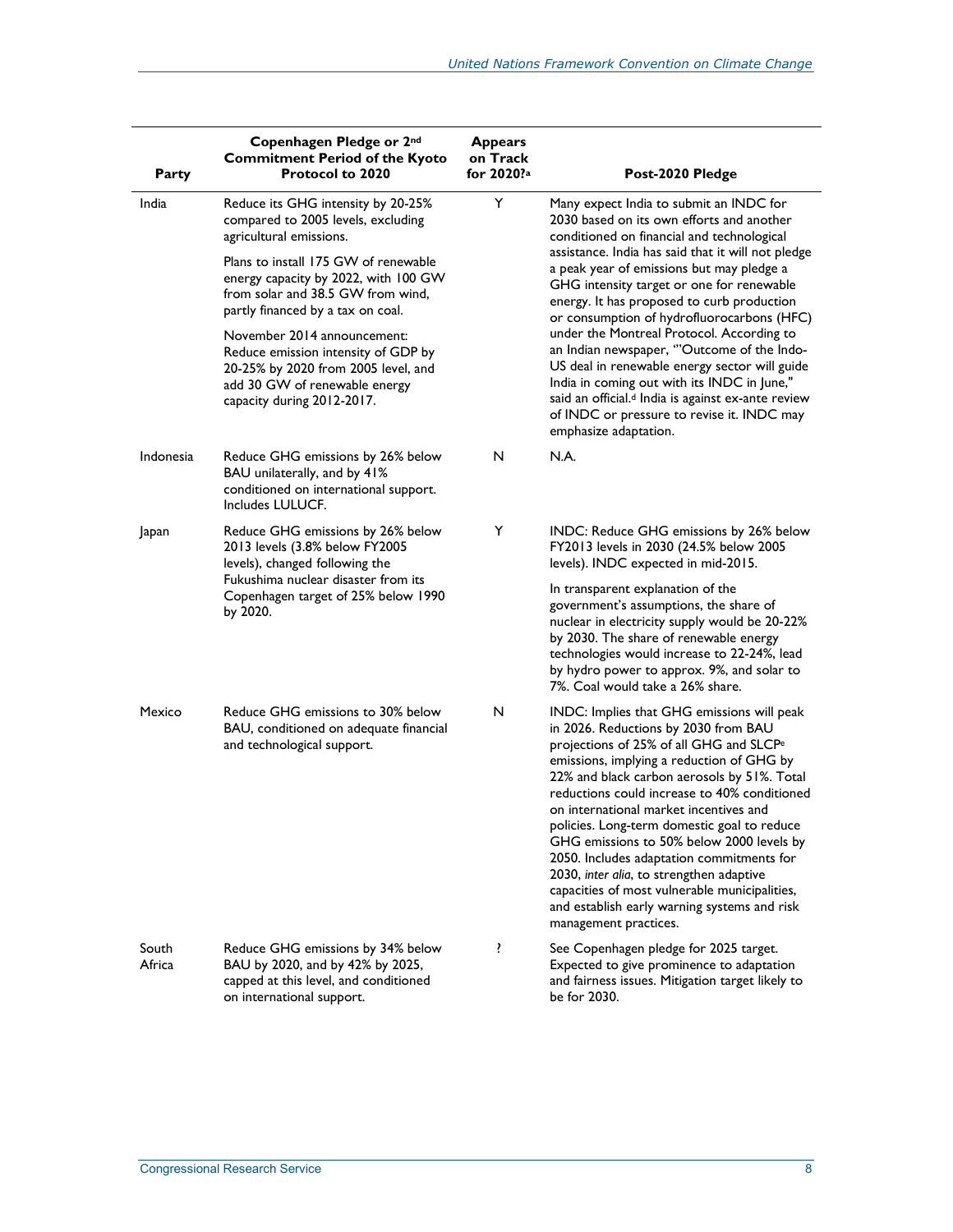| Party           | Copenhagen Pledge or 2nd<br><b>Commitment Period of the Kyoto</b><br><b>Protocol to 2020</b>                                                                                                                                                                                                                                                                                                                                              | <b>Appears</b><br>on Track<br>for 2020? <sup>a</sup> | Post-2020 Pledge                                                                                                                                                                                                                                                                                                                                                                                                                                                                                                                                                                                                                                                                                                   |
|-----------------|-------------------------------------------------------------------------------------------------------------------------------------------------------------------------------------------------------------------------------------------------------------------------------------------------------------------------------------------------------------------------------------------------------------------------------------------|------------------------------------------------------|--------------------------------------------------------------------------------------------------------------------------------------------------------------------------------------------------------------------------------------------------------------------------------------------------------------------------------------------------------------------------------------------------------------------------------------------------------------------------------------------------------------------------------------------------------------------------------------------------------------------------------------------------------------------------------------------------------------------|
| India           | Reduce its GHG intensity by 20-25%<br>compared to 2005 levels, excluding<br>agricultural emissions.<br>Plans to install 175 GW of renewable<br>energy capacity by 2022, with 100 GW<br>from solar and 38.5 GW from wind,<br>partly financed by a tax on coal.<br>November 2014 announcement:<br>Reduce emission intensity of GDP by<br>20-25% by 2020 from 2005 level, and<br>add 30 GW of renewable energy<br>capacity during 2012-2017. | Y                                                    | Many expect India to submit an INDC for<br>2030 based on its own efforts and another<br>conditioned on financial and technological<br>assistance. India has said that it will not pledge<br>a peak year of emissions but may pledge a<br>GHG intensity target or one for renewable<br>energy. It has proposed to curb production<br>or consumption of hydrofluorocarbons (HFC)<br>under the Montreal Protocol. According to<br>an Indian newspaper, "Outcome of the Indo-<br>US deal in renewable energy sector will guide<br>India in coming out with its INDC in June,"<br>said an official. <sup>d</sup> India is against ex-ante review<br>of INDC or pressure to revise it. INDC may<br>emphasize adaptation. |
| Indonesia       | Reduce GHG emissions by 26% below<br>BAU unilaterally, and by 41%<br>conditioned on international support.<br>Includes LULUCF.                                                                                                                                                                                                                                                                                                            | N                                                    | N.A.                                                                                                                                                                                                                                                                                                                                                                                                                                                                                                                                                                                                                                                                                                               |
| Japan           | Reduce GHG emissions by 26% below<br>2013 levels (3.8% below FY2005<br>levels), changed following the<br>Fukushima nuclear disaster from its<br>Copenhagen target of 25% below 1990<br>by 2020.                                                                                                                                                                                                                                           | Y                                                    | INDC: Reduce GHG emissions by 26% below<br>FY2013 levels in 2030 (24.5% below 2005<br>levels). INDC expected in mid-2015.<br>In transparent explanation of the<br>government's assumptions, the share of<br>nuclear in electricity supply would be 20-22%<br>by 2030. The share of renewable energy<br>technologies would increase to 22-24%, lead<br>by hydro power to approx. 9%, and solar to<br>7%. Coal would take a 26% share.                                                                                                                                                                                                                                                                               |
| Mexico          | Reduce GHG emissions to 30% below<br>BAU, conditioned on adequate financial<br>and technological support.                                                                                                                                                                                                                                                                                                                                 | N                                                    | INDC: Implies that GHG emissions will peak<br>in 2026. Reductions by 2030 from BAU<br>projections of 25% of all GHG and SLCP <sup>e</sup><br>emissions, implying a reduction of GHG by<br>22% and black carbon aerosols by 51%. Total<br>reductions could increase to 40% conditioned<br>on international market incentives and<br>policies. Long-term domestic goal to reduce<br>GHG emissions to 50% below 2000 levels by<br>2050. Includes adaptation commitments for<br>2030, inter alia, to strengthen adaptive<br>capacities of most vulnerable municipalities,<br>and establish early warning systems and risk<br>management practices.                                                                     |
| South<br>Africa | Reduce GHG emissions by 34% below<br>BAU by 2020, and by 42% by 2025,<br>capped at this level, and conditioned<br>on international support.                                                                                                                                                                                                                                                                                               | ŗ                                                    | See Copenhagen pledge for 2025 target.<br>Expected to give prominence to adaptation<br>and fairness issues. Mitigation target likely to<br>be for 2030.                                                                                                                                                                                                                                                                                                                                                                                                                                                                                                                                                            |